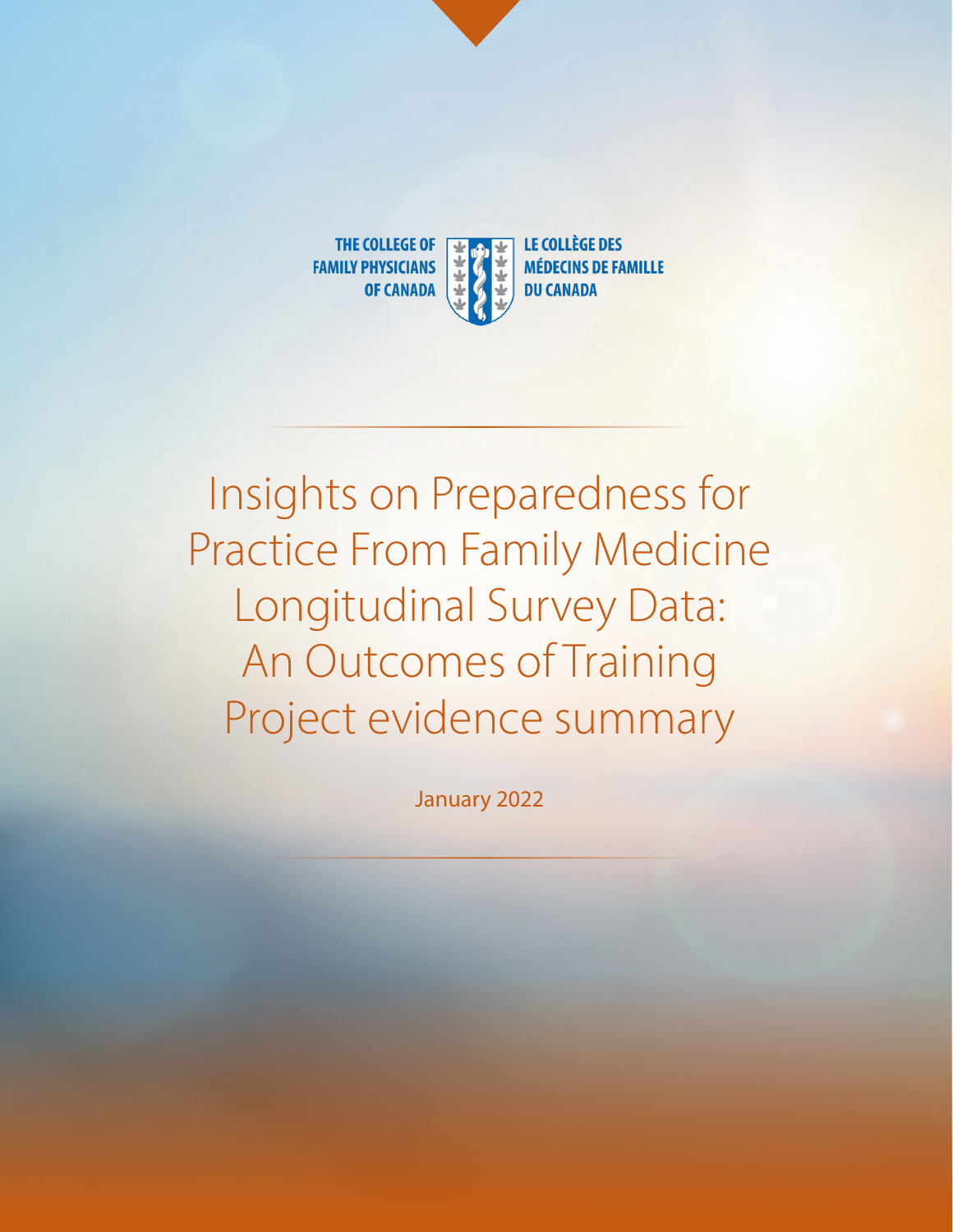

# Insights on Preparedness for Practice From Family Medicine Longitudinal Survey Data: An Outcomes of Training Project evidence summary

January 2022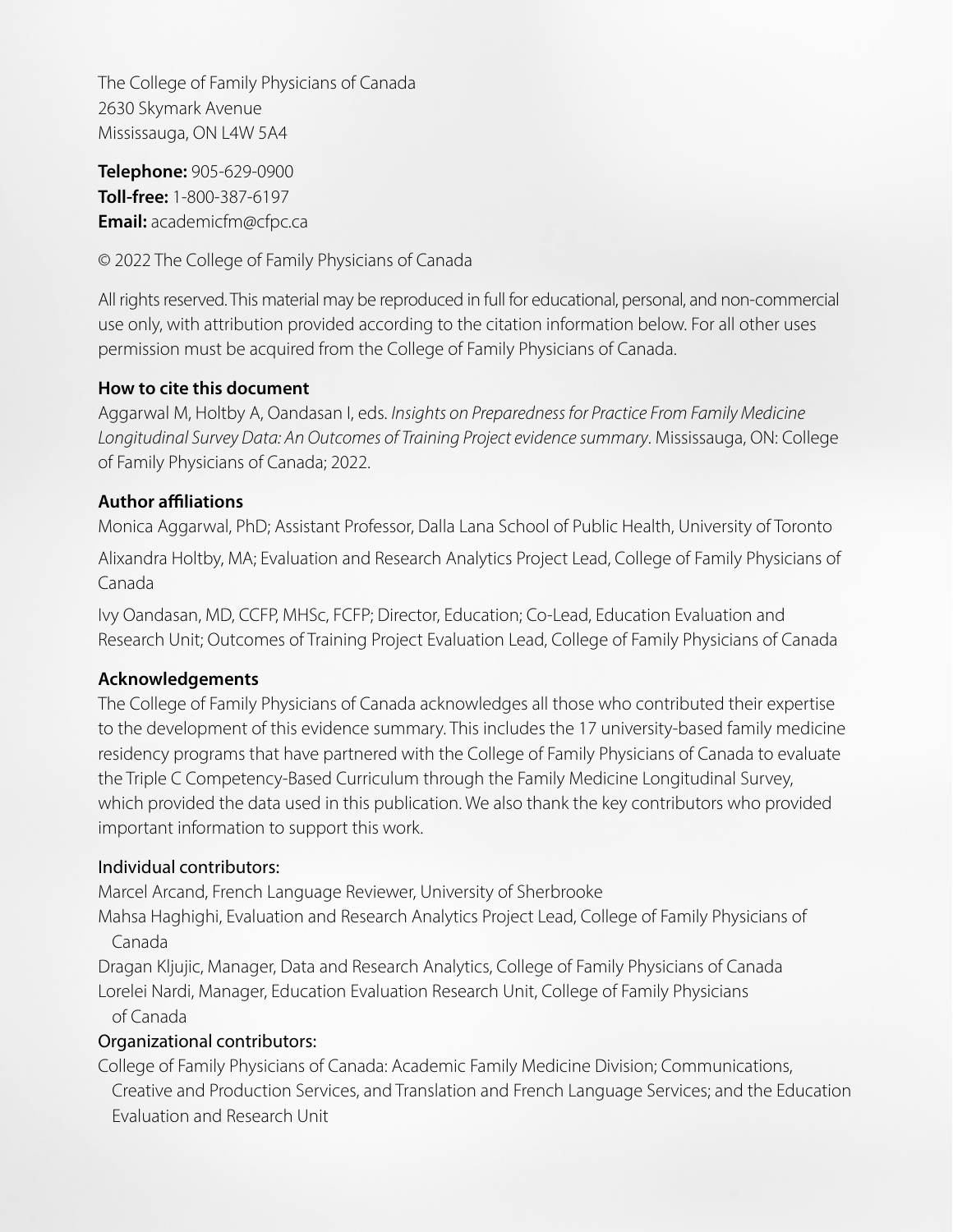The College of Family Physicians of Canada 2630 Skymark Avenue Mississauga, ON L4W 5A4

**Telephone:** 905-629-0900 **Toll-free:** 1-800-387-6197 **Email:** academicfm@cfpc.ca

© 2022 The College of Family Physicians of Canada

All rights reserved. This material may be reproduced in full for educational, personal, and non-commercial use only, with attribution provided according to the citation information below. For all other uses permission must be acquired from the College of Family Physicians of Canada.

#### **How to cite this document**

Aggarwal M, Holtby A, Oandasan I, eds. *Insights on Preparedness for Practice From Family Medicine Longitudinal Survey Data: An Outcomes of Training Project evidence summary*. Mississauga, ON: College of Family Physicians of Canada; 2022.

#### **Author affiliations**

Monica Aggarwal, PhD; Assistant Professor, Dalla Lana School of Public Health, University of Toronto

Alixandra Holtby, MA; Evaluation and Research Analytics Project Lead, College of Family Physicians of Canada

Ivy Oandasan, MD, CCFP, MHSc, FCFP; Director, Education; Co-Lead, Education Evaluation and Research Unit; Outcomes of Training Project Evaluation Lead, College of Family Physicians of Canada

#### **Acknowledgements**

The College of Family Physicians of Canada acknowledges all those who contributed their expertise to the development of this evidence summary. This includes the 17 university-based family medicine residency programs that have partnered with the College of Family Physicians of Canada to evaluate the Triple C Competency-Based Curriculum through the Family Medicine Longitudinal Survey, which provided the data used in this publication. We also thank the key contributors who provided important information to support this work.

#### Individual contributors:

Marcel Arcand, French Language Reviewer, University of Sherbrooke

Mahsa Haghighi, Evaluation and Research Analytics Project Lead, College of Family Physicians of Canada

Dragan Kljujic, Manager, Data and Research Analytics, College of Family Physicians of Canada Lorelei Nardi, Manager, Education Evaluation Research Unit, College of Family Physicians

#### of Canada

#### Organizational contributors:

College of Family Physicians of Canada: Academic Family Medicine Division; Communications, Creative and Production Services, and Translation and French Language Services; and the Education Evaluation and Research Unit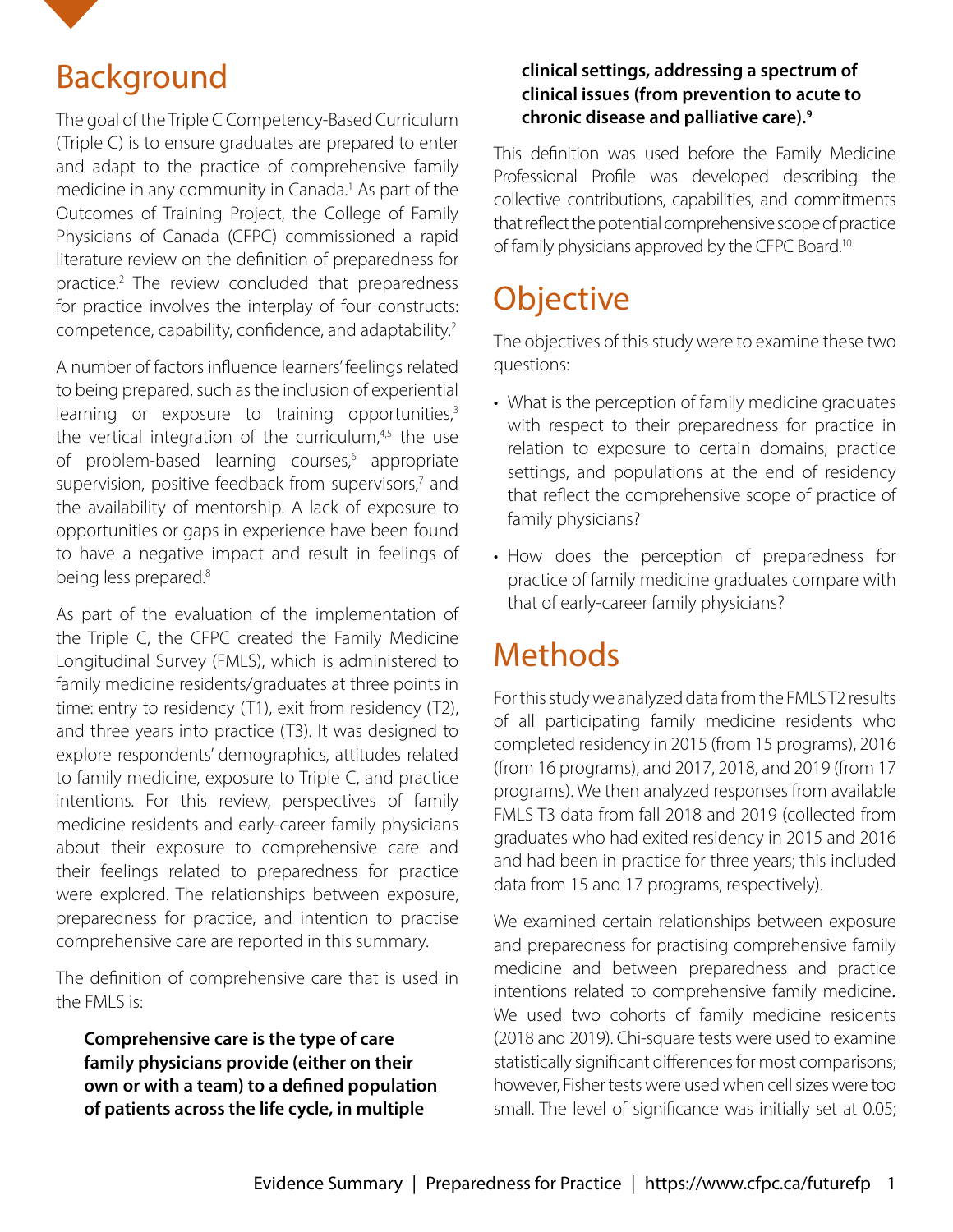<span id="page-2-0"></span>

### Background

The goal of the Triple C Competency-Based Curriculum (Triple C) is to ensure graduates are prepared to enter and adapt to the practice of comprehensive family medicine in any community in Canada.<sup>[1](#page-10-0)</sup> As part of the Outcomes of Training Project, the College of Family Physicians of Canada (CFPC) commissioned a rapid literature review on the definition of preparedness for practice.<sup>2</sup> The review concluded that preparedness for practice involves the interplay of four constructs: competence, capability, confidence, and adaptability.<sup>2</sup>

A number of factors influence learners' feelings related to being prepared, such as the inclusion of experiential learning or exposure to training opportunities, $3$ the vertical integration of the curriculum,<sup>4,5</sup> the use of problem-based learning courses,<sup>[6](#page-10-0)</sup> appropriate supervision, positive feedback from supervisors,<sup>[7](#page-10-0)</sup> and the availability of mentorship. A lack of exposure to opportunities or gaps in experience have been found to have a negative impact and result in feelings of being less prepared.<sup>8</sup>

As part of the evaluation of the implementation of the Triple C, the CFPC created the Family Medicine Longitudinal Survey (FMLS), which is administered to family medicine residents/graduates at three points in time: entry to residency (T1), exit from residency (T2), and three years into practice (T3). It was designed to explore respondents' demographics, attitudes related to family medicine, exposure to Triple C, and practice intentions. For this review, perspectives of family medicine residents and early-career family physicians about their exposure to comprehensive care and their feelings related to preparedness for practice were explored. The relationships between exposure, preparedness for practice, and intention to practise comprehensive care are reported in this summary.

The definition of comprehensive care that is used in the FMLS is:

**Comprehensive care is the type of care family physicians provide (either on their own or with a team) to a defined population of patients across the life cycle, in multiple** 

#### **clinical settings, addressing a spectrum of clinical issues (from prevention to acute to chronic disease and palliative care)[.9](#page-10-0)**

This definition was used before the Family Medicine Professional Profile was developed describing the collective contributions, capabilities, and commitments that reflect the potential comprehensive scope of practice of family physicians approved by the CFPC Board[.10](#page-10-0)

# **Objective**

The objectives of this study were to examine these two questions:

- What is the perception of family medicine graduates with respect to their preparedness for practice in relation to exposure to certain domains, practice settings, and populations at the end of residency that reflect the comprehensive scope of practice of family physicians?
- How does the perception of preparedness for practice of family medicine graduates compare with that of early-career family physicians?

## Methods

For this study we analyzed data from the FMLS T2 results of all participating family medicine residents who completed residency in 2015 (from 15 programs), 2016 (from 16 programs), and 2017, 2018, and 2019 (from 17 programs). We then analyzed responses from available FMLS T3 data from fall 2018 and 2019 (collected from graduates who had exited residency in 2015 and 2016 and had been in practice for three years; this included data from 15 and 17 programs, respectively).

We examined certain relationships between exposure and preparedness for practising comprehensive family medicine and between preparedness and practice intentions related to comprehensive family medicine*.*  We used two cohorts of family medicine residents (2018 and 2019). Chi-square tests were used to examine statistically significant differences for most comparisons; however, Fisher tests were used when cell sizes were too small. The level of significance was initially set at 0.05;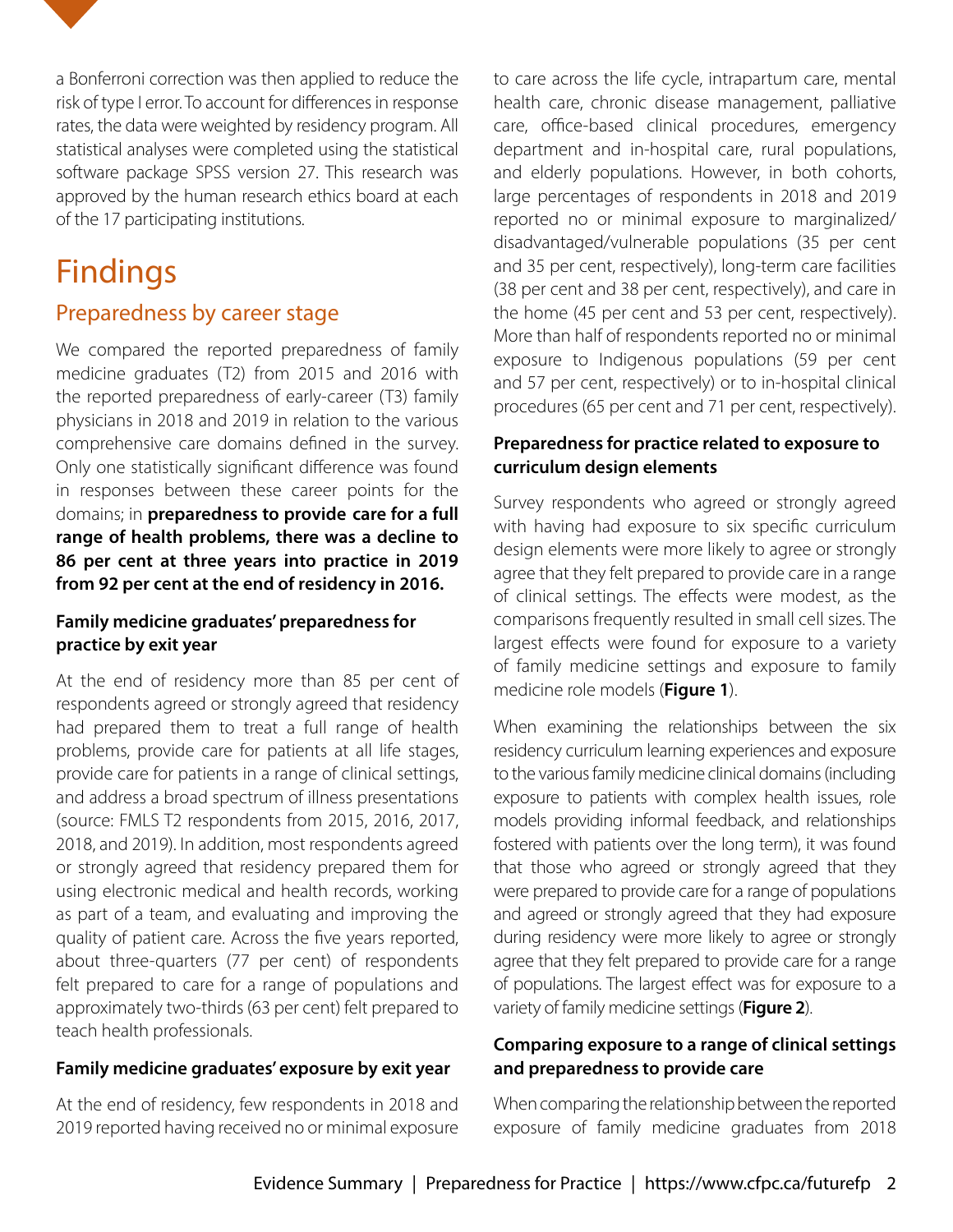

## Findings

#### Preparedness by career stage

We compared the reported preparedness of family medicine graduates (T2) from 2015 and 2016 with the reported preparedness of early-career (T3) family physicians in 2018 and 2019 in relation to the various comprehensive care domains defined in the survey. Only one statistically significant difference was found in responses between these career points for the domains; in **preparedness to provide care for a full range of health problems, there was a decline to 86 per cent at three years into practice in 2019 from 92 per cent at the end of residency in 2016.**

#### **Family medicine graduates' preparedness for practice by exit year**

At the end of residency more than 85 per cent of respondents agreed or strongly agreed that residency had prepared them to treat a full range of health problems, provide care for patients at all life stages, provide care for patients in a range of clinical settings, and address a broad spectrum of illness presentations (source: FMLS T2 respondents from 2015, 2016, 2017, 2018, and 2019). In addition, most respondents agreed or strongly agreed that residency prepared them for using electronic medical and health records, working as part of a team, and evaluating and improving the quality of patient care. Across the five years reported, about three-quarters (77 per cent) of respondents felt prepared to care for a range of populations and approximately two-thirds (63 per cent) felt prepared to teach health professionals.

#### **Family medicine graduates' exposure by exit year**

At the end of residency, few respondents in 2018 and 2019 reported having received no or minimal exposure

to care across the life cycle, intrapartum care, mental health care, chronic disease management, palliative care, office-based clinical procedures, emergency department and in-hospital care, rural populations, and elderly populations. However, in both cohorts, large percentages of respondents in 2018 and 2019 reported no or minimal exposure to marginalized/ disadvantaged/vulnerable populations (35 per cent and 35 per cent, respectively), long-term care facilities (38 per cent and 38 per cent, respectively), and care in the home (45 per cent and 53 per cent, respectively). More than half of respondents reported no or minimal exposure to Indigenous populations (59 per cent and 57 per cent, respectively) or to in-hospital clinical procedures (65 per cent and 71 per cent, respectively).

#### **Preparedness for practice related to exposure to curriculum design elements**

Survey respondents who agreed or strongly agreed with having had exposure to six specific curriculum design elements were more likely to agree or strongly agree that they felt prepared to provide care in a range of clinical settings. The effects were modest, as the comparisons frequently resulted in small cell sizes. The largest effects were found for exposure to a variety of family medicine settings and exposure to family medicine role models (**Figure 1**).

When examining the relationships between the six residency curriculum learning experiences and exposure to the various family medicine clinical domains (including exposure to patients with complex health issues, role models providing informal feedback, and relationships fostered with patients over the long term), it was found that those who agreed or strongly agreed that they were prepared to provide care for a range of populations and agreed or strongly agreed that they had exposure during residency were more likely to agree or strongly agree that they felt prepared to provide care for a range of populations. The largest effect was for exposure to a variety of family medicine settings (**Figure 2**).

#### **Comparing exposure to a range of clinical settings and preparedness to provide care**

When comparing the relationship between the reported exposure of family medicine graduates from 2018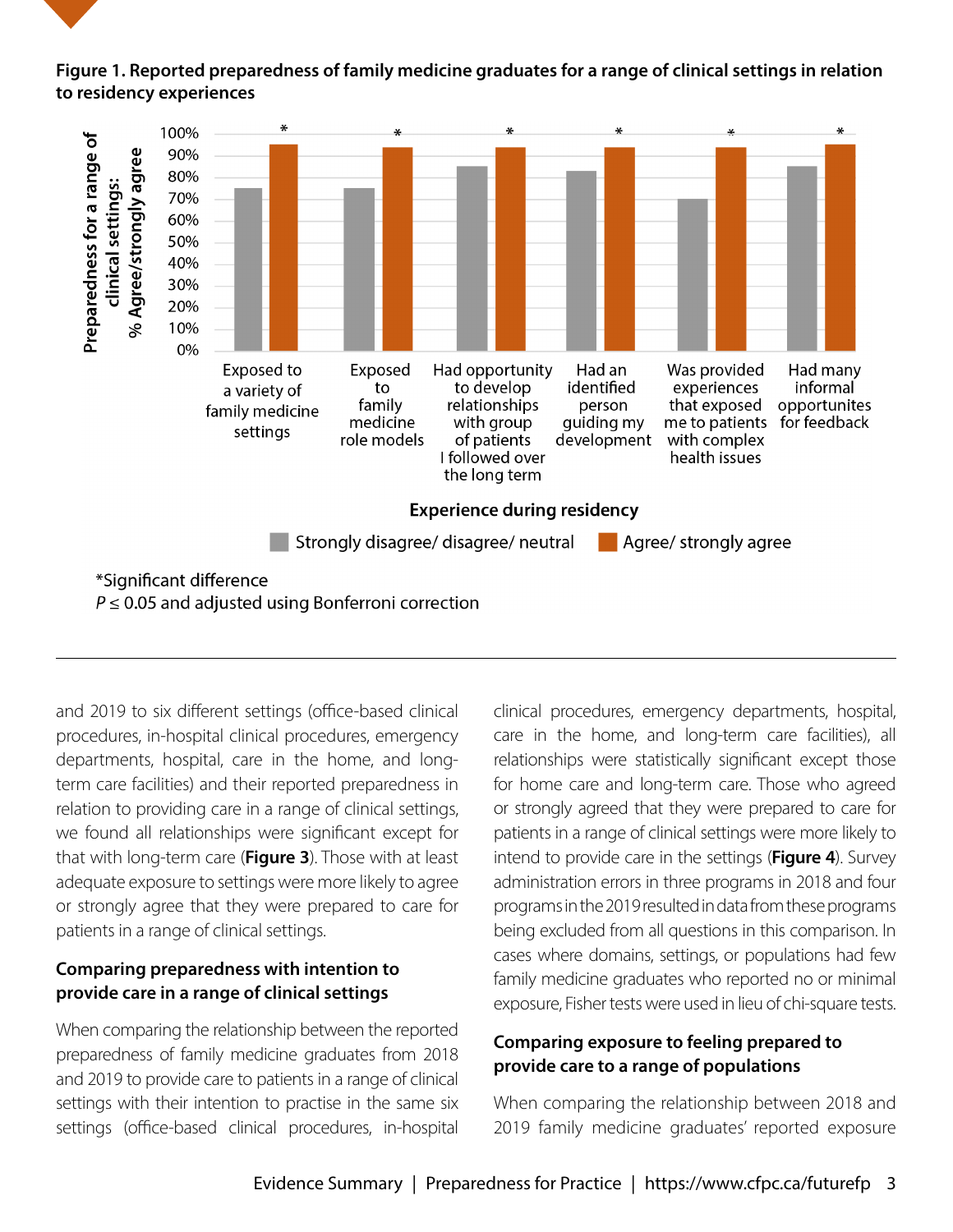#### **Figure 1. Reported preparedness of family medicine graduates for a range of clinical settings in relation to residency experiences**



and 2019 to six different settings (office-based clinical procedures, in-hospital clinical procedures, emergency departments, hospital, care in the home, and longterm care facilities) and their reported preparedness in relation to providing care in a range of clinical settings, we found all relationships were significant except for that with long-term care (**Figure 3**). Those with at least adequate exposure to settings were more likely to agree or strongly agree that they were prepared to care for patients in a range of clinical settings.

#### **Comparing preparedness with intention to provide care in a range of clinical settings**

When comparing the relationship between the reported preparedness of family medicine graduates from 2018 and 2019 to provide care to patients in a range of clinical settings with their intention to practise in the same six settings (office-based clinical procedures, in-hospital

clinical procedures, emergency departments, hospital, care in the home, and long-term care facilities), all relationships were statistically significant except those for home care and long-term care. Those who agreed or strongly agreed that they were prepared to care for patients in a range of clinical settings were more likely to intend to provide care in the settings (**Figure 4**). Survey administration errors in three programs in 2018 and four programs in the 2019 resulted in data from these programs being excluded from all questions in this comparison. In cases where domains, settings, or populations had few family medicine graduates who reported no or minimal exposure, Fisher tests were used in lieu of chi-square tests.

#### **Comparing exposure to feeling prepared to provide care to a range of populations**

When comparing the relationship between 2018 and 2019 family medicine graduates' reported exposure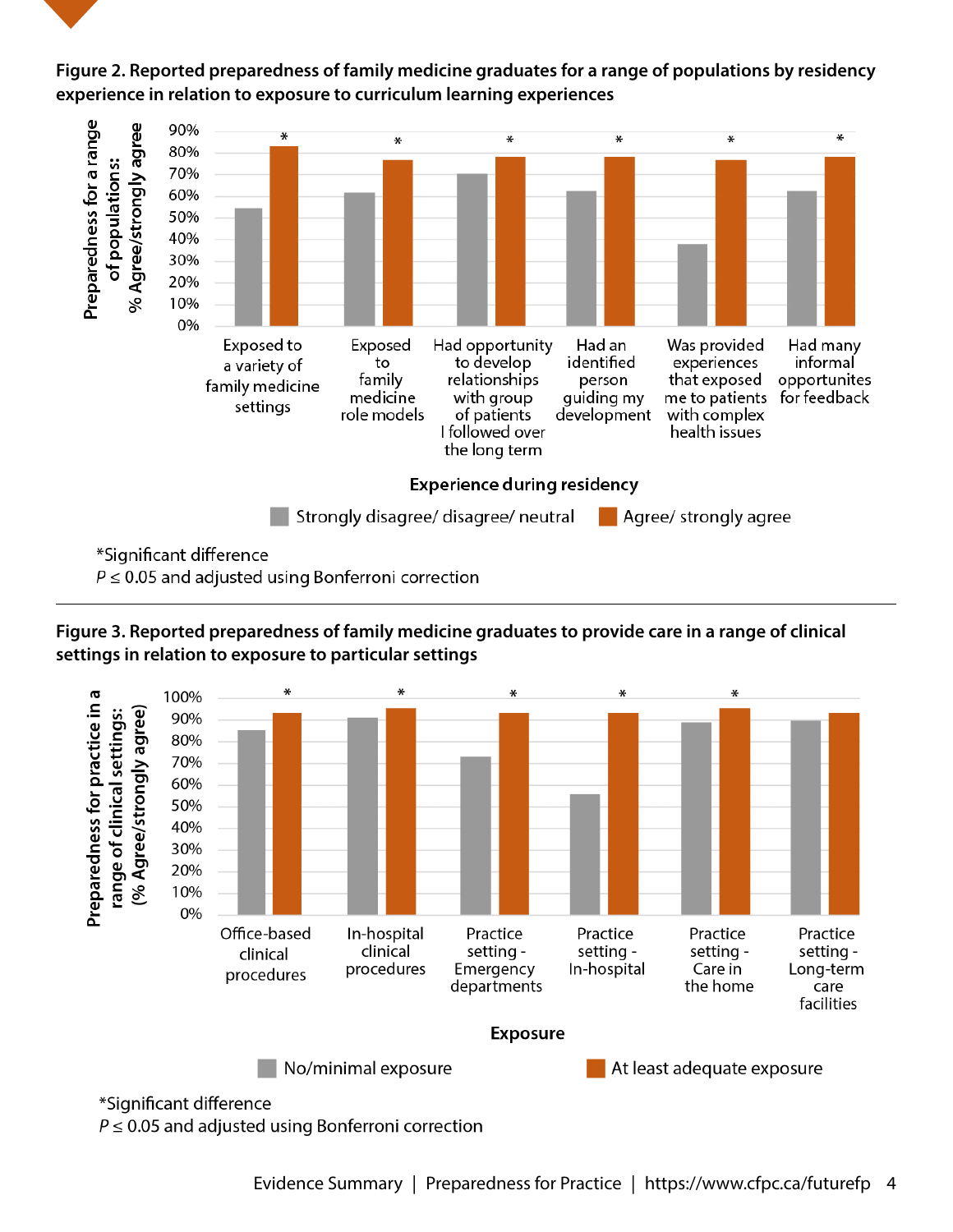

**Figure 2. Reported preparedness of family medicine graduates for a range of populations by residency experience in relation to exposure to curriculum learning experiences**

\*Significant difference

 $P \leq 0.05$  and adjusted using Bonferroni correction





 $P \leq 0.05$  and adjusted using Bonferroni correction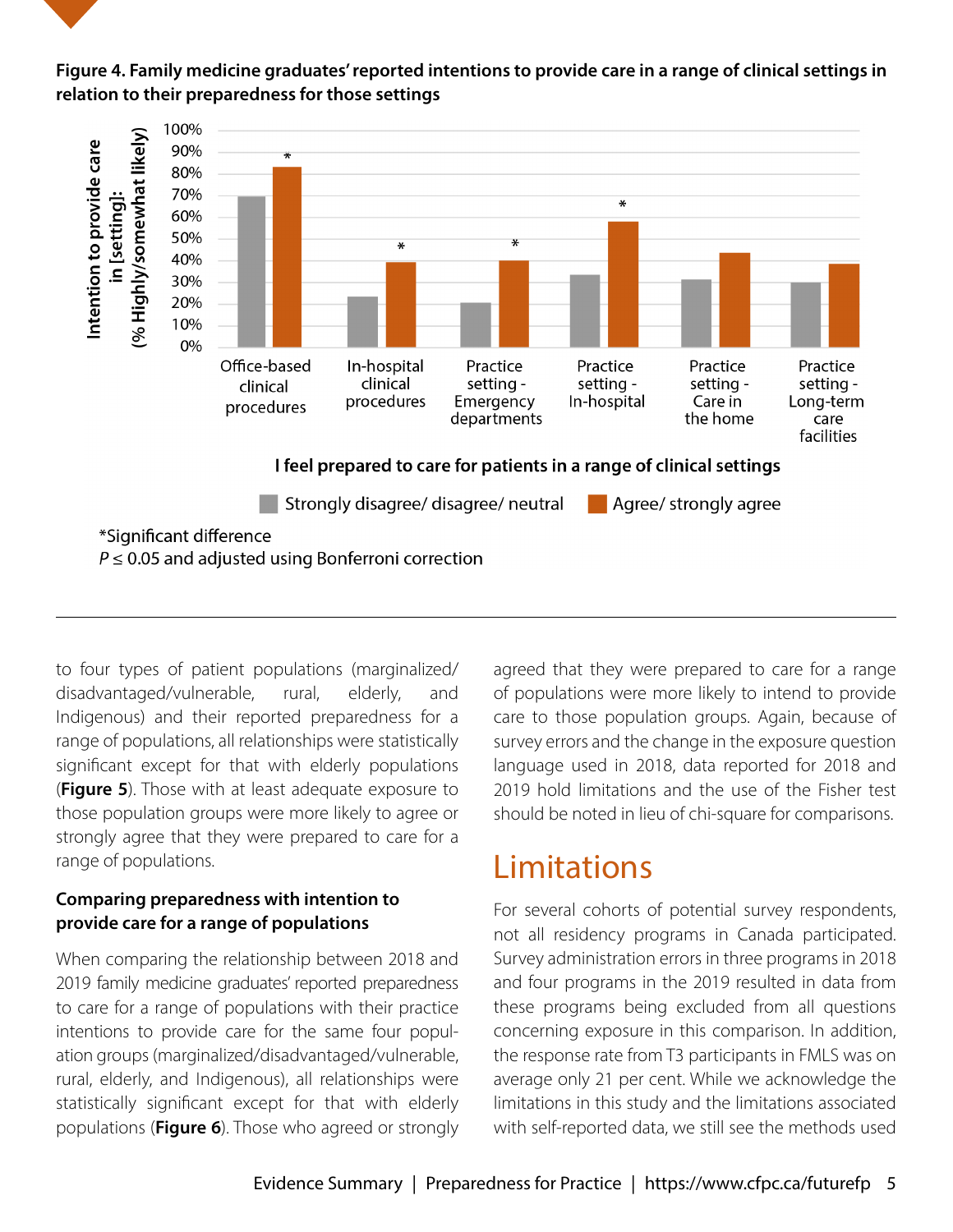



to four types of patient populations (marginalized/ disadvantaged/vulnerable, rural, elderly, and Indigenous) and their reported preparedness for a range of populations, all relationships were statistically significant except for that with elderly populations (**Figure 5**). Those with at least adequate exposure to those population groups were more likely to agree or strongly agree that they were prepared to care for a range of populations.

#### **Comparing preparedness with intention to provide care for a range of populations**

When comparing the relationship between 2018 and 2019 family medicine graduates' reported preparedness to care for a range of populations with their practice intentions to provide care for the same four population groups (marginalized/disadvantaged/vulnerable, rural, elderly, and Indigenous), all relationships were statistically significant except for that with elderly populations (**Figure 6**). Those who agreed or strongly

agreed that they were prepared to care for a range of populations were more likely to intend to provide care to those population groups. Again, because of survey errors and the change in the exposure question language used in 2018, data reported for 2018 and 2019 hold limitations and the use of the Fisher test should be noted in lieu of chi-square for comparisons.

### Limitations

For several cohorts of potential survey respondents, not all residency programs in Canada participated. Survey administration errors in three programs in 2018 and four programs in the 2019 resulted in data from these programs being excluded from all questions concerning exposure in this comparison. In addition, the response rate from T3 participants in FMLS was on average only 21 per cent. While we acknowledge the limitations in this study and the limitations associated with self-reported data, we still see the methods used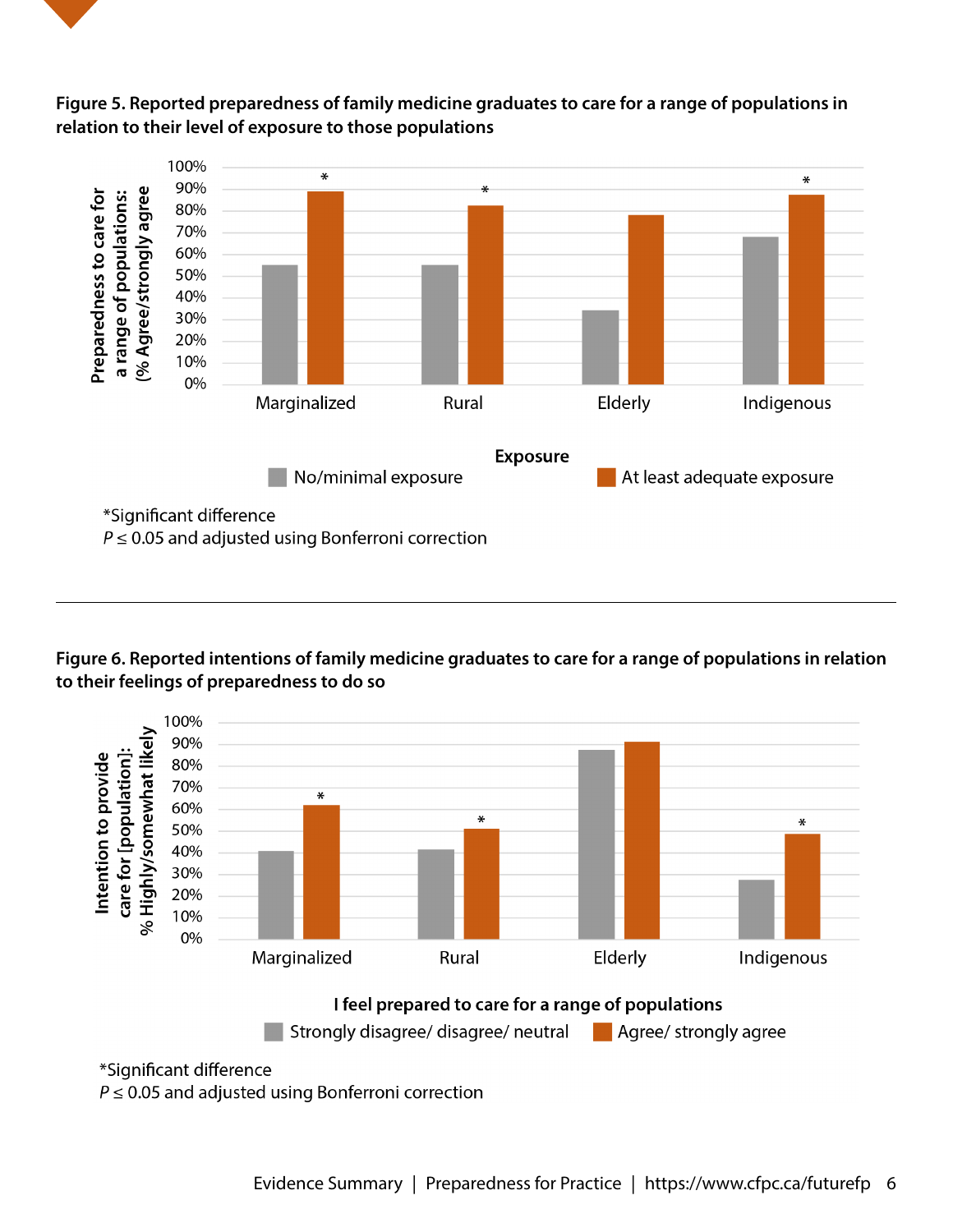



#### **Figure 5. Reported preparedness of family medicine graduates to care for a range of populations in relation to their level of exposure to those populations**

**Figure 6. Reported intentions of family medicine graduates to care for a range of populations in relation to their feelings of preparedness to do so**



 $P \leq 0.05$  and adjusted using Bonferroni correction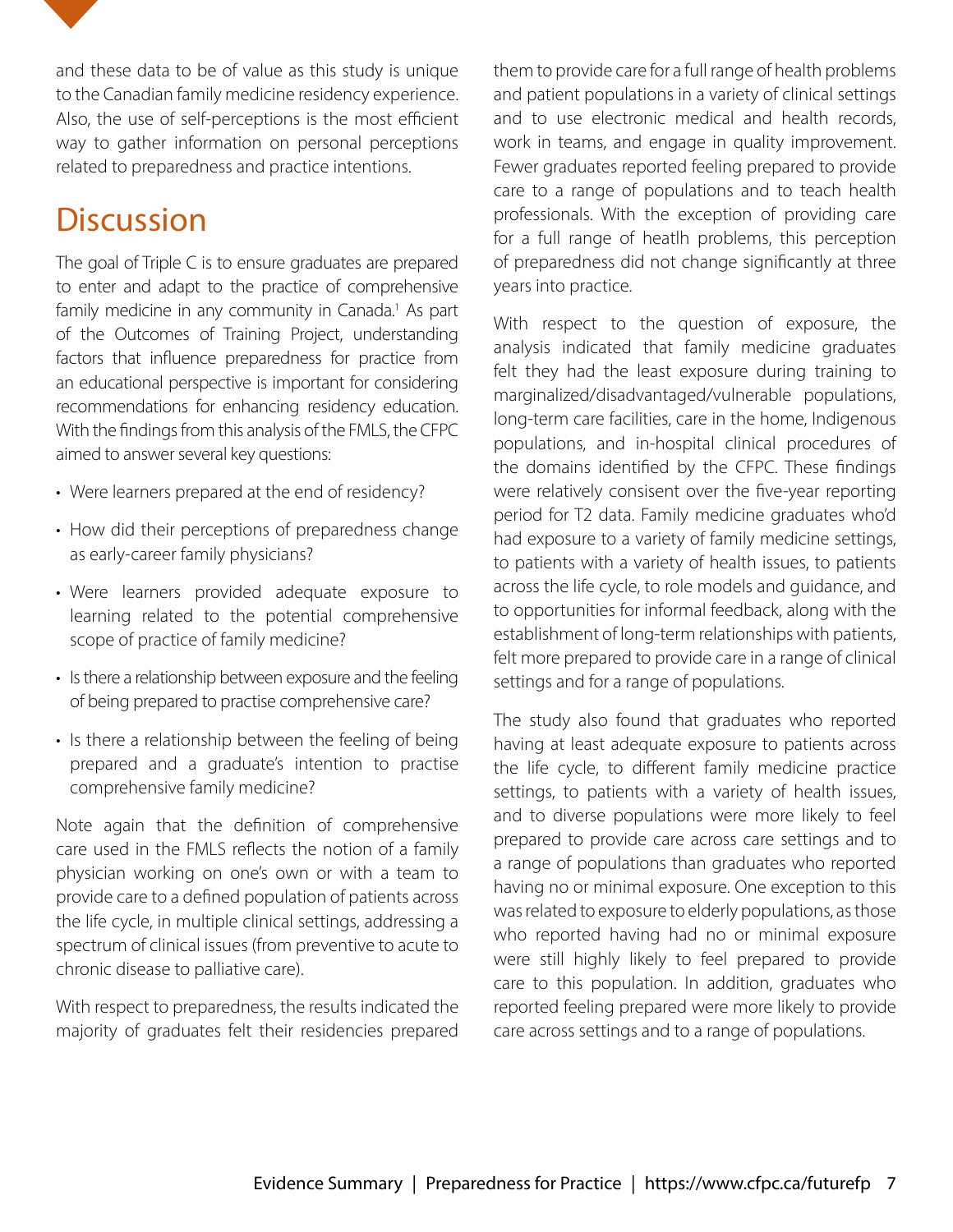and these data to be of value as this study is unique to the Canadian family medicine residency experience. Also, the use of self-perceptions is the most efficient way to gather information on personal perceptions related to preparedness and practice intentions.

### **Discussion**

The goal of Triple C is to ensure graduates are prepared to enter and adapt to the practice of comprehensive family medicine in any community in Canada.<sup>1</sup> As part of the Outcomes of Training Project, understanding factors that influence preparedness for practice from an educational perspective is important for considering recommendations for enhancing residency education. With the findings from this analysis of the FMLS, the CFPC aimed to answer several key questions:

- Were learners prepared at the end of residency?
- How did their perceptions of preparedness change as early-career family physicians?
- Were learners provided adequate exposure to learning related to the potential comprehensive scope of practice of family medicine?
- Is there a relationship between exposure and the feeling of being prepared to practise comprehensive care?
- Is there a relationship between the feeling of being prepared and a graduate's intention to practise comprehensive family medicine?

Note again that the definition of comprehensive care used in the FMLS reflects the notion of a family physician working on one's own or with a team to provide care to a defined population of patients across the life cycle, in multiple clinical settings, addressing a spectrum of clinical issues (from preventive to acute to chronic disease to palliative care).

With respect to preparedness, the results indicated the majority of graduates felt their residencies prepared them to provide care for a full range of health problems and patient populations in a variety of clinical settings and to use electronic medical and health records, work in teams, and engage in quality improvement. Fewer graduates reported feeling prepared to provide care to a range of populations and to teach health professionals. With the exception of providing care for a full range of heatlh problems, this perception of preparedness did not change significantly at three years into practice.

With respect to the question of exposure, the analysis indicated that family medicine graduates felt they had the least exposure during training to marginalized/disadvantaged/vulnerable populations, long-term care facilities, care in the home, Indigenous populations, and in-hospital clinical procedures of the domains identified by the CFPC. These findings were relatively consisent over the five-year reporting period for T2 data. Family medicine graduates who'd had exposure to a variety of family medicine settings, to patients with a variety of health issues, to patients across the life cycle, to role models and guidance, and to opportunities for informal feedback, along with the establishment of long-term relationships with patients, felt more prepared to provide care in a range of clinical settings and for a range of populations.

The study also found that graduates who reported having at least adequate exposure to patients across the life cycle, to different family medicine practice settings, to patients with a variety of health issues, and to diverse populations were more likely to feel prepared to provide care across care settings and to a range of populations than graduates who reported having no or minimal exposure. One exception to this was related to exposure to elderly populations, as those who reported having had no or minimal exposure were still highly likely to feel prepared to provide care to this population. In addition, graduates who reported feeling prepared were more likely to provide care across settings and to a range of populations.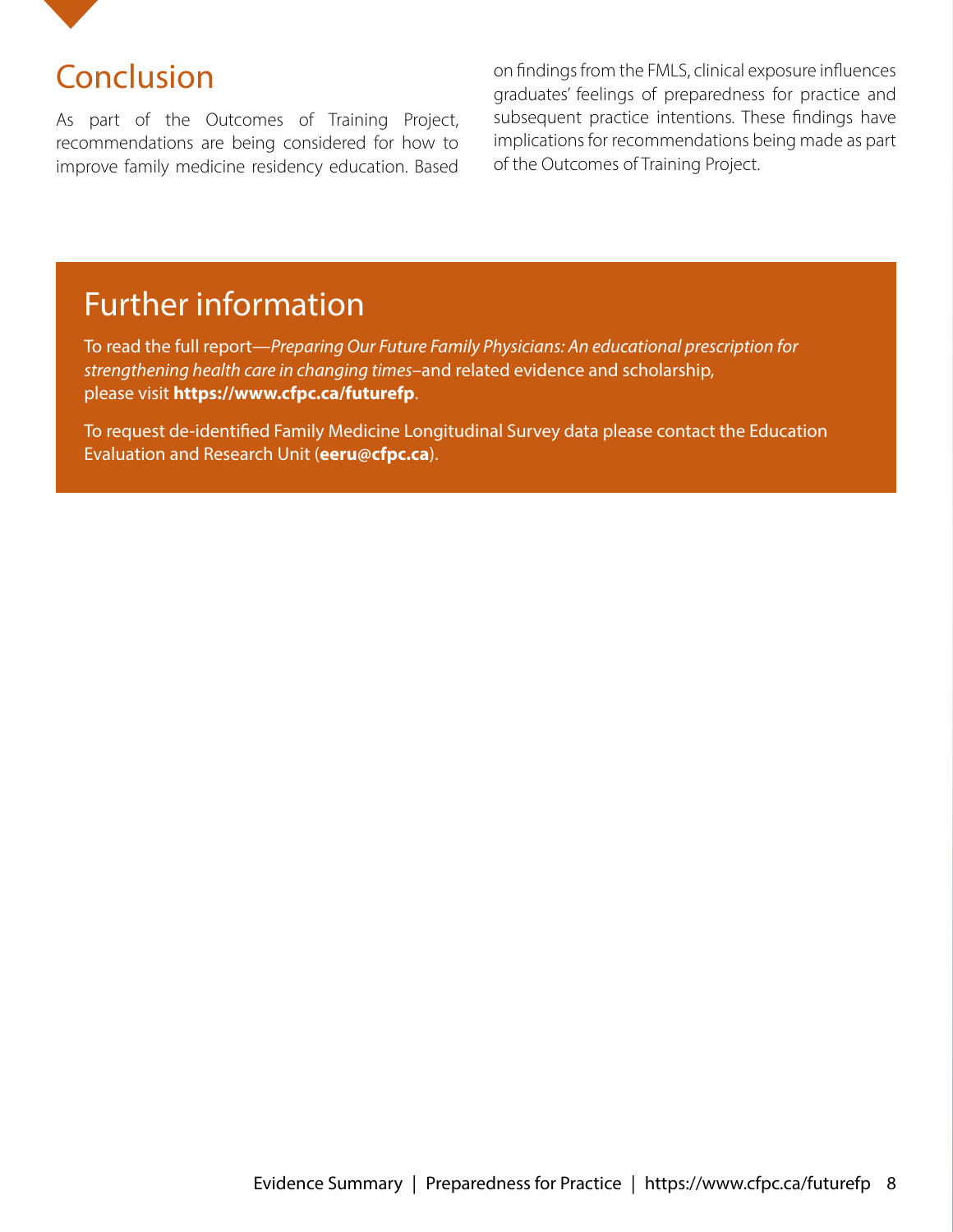

### Conclusion

As part of the Outcomes of Training Project, recommendations are being considered for how to improve family medicine residency education. Based on findings from the FMLS, clinical exposure influences graduates' feelings of preparedness for practice and subsequent practice intentions. These findings have implications for recommendations being made as part of the Outcomes of Training Project.

### Further information

To read the full report—*Preparing Our Future Family Physicians: An educational prescription for strengthening health care in changing times*–and related evidence and scholarship, please visit **https://www.cfpc.ca/futurefp**.

To request de-identified Family Medicine Longitudinal Survey data please contact the Education Evaluation and Research Unit (**eeru@cfpc.ca**).